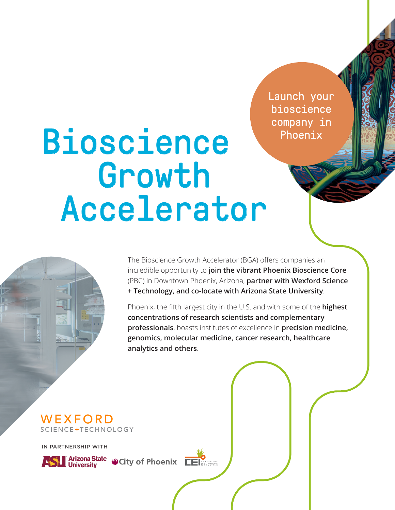Launch your bioscience company in Phoenix

# Bioscience Growth Accelerator



Phoenix, the fifth largest city in the U.S. and with some of the **highest concentrations of research scientists and complementary professionals**, boasts institutes of excellence in **precision medicine, genomics, molecular medicine, cancer research, healthcare analytics and others**.

WEXFORD SCIENCE+TECHNOLOGY

IN PARTNERSHIP WITH